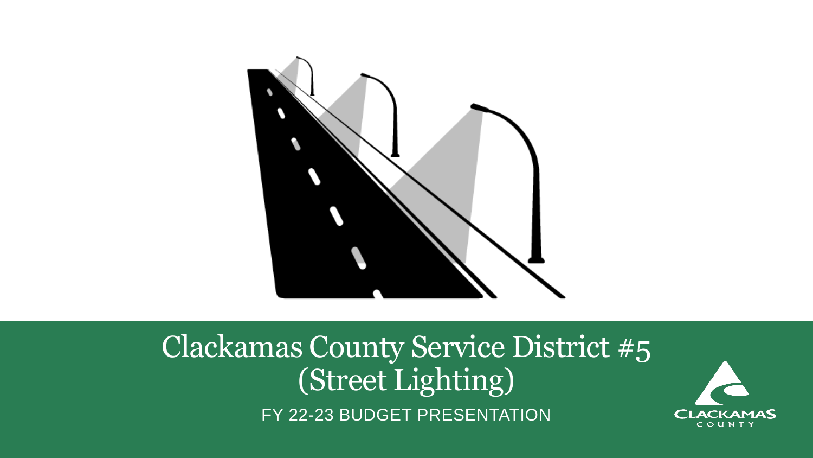

### Clackamas County Service District #5 (Street Lighting) FY 22-23 BUDGET PRESENTATION

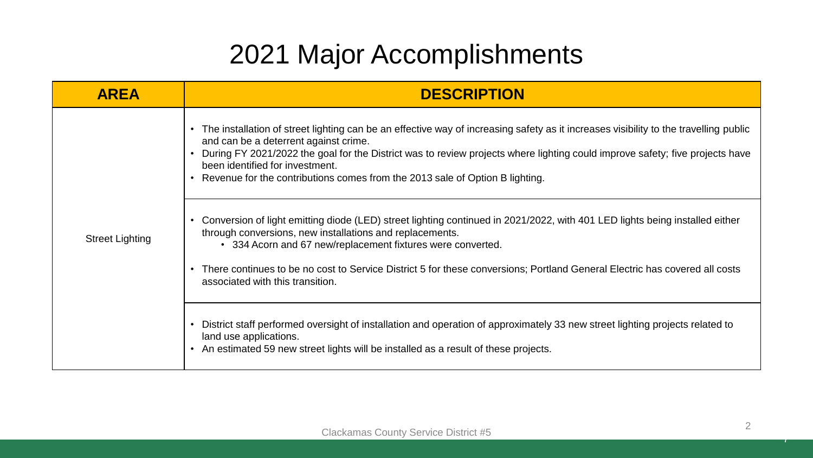### 2021 Major Accomplishments

| <b>AREA</b>            | <b>DESCRIPTION</b>                                                                                                                                                                                                                                                                                                                                                                                                                                                                                                                                                                                                                                                                                                                                                                                                                                                                                                                                                                             |
|------------------------|------------------------------------------------------------------------------------------------------------------------------------------------------------------------------------------------------------------------------------------------------------------------------------------------------------------------------------------------------------------------------------------------------------------------------------------------------------------------------------------------------------------------------------------------------------------------------------------------------------------------------------------------------------------------------------------------------------------------------------------------------------------------------------------------------------------------------------------------------------------------------------------------------------------------------------------------------------------------------------------------|
| <b>Street Lighting</b> | The installation of street lighting can be an effective way of increasing safety as it increases visibility to the travelling public<br>and can be a deterrent against crime.<br>During FY 2021/2022 the goal for the District was to review projects where lighting could improve safety; five projects have<br>been identified for investment.<br>• Revenue for the contributions comes from the 2013 sale of Option B lighting.<br>Conversion of light emitting diode (LED) street lighting continued in 2021/2022, with 401 LED lights being installed either<br>through conversions, new installations and replacements.<br>• 334 Acorn and 67 new/replacement fixtures were converted.<br>There continues to be no cost to Service District 5 for these conversions; Portland General Electric has covered all costs<br>associated with this transition.<br>District staff performed oversight of installation and operation of approximately 33 new street lighting projects related to |
|                        | land use applications.<br>An estimated 59 new street lights will be installed as a result of these projects.                                                                                                                                                                                                                                                                                                                                                                                                                                                                                                                                                                                                                                                                                                                                                                                                                                                                                   |

7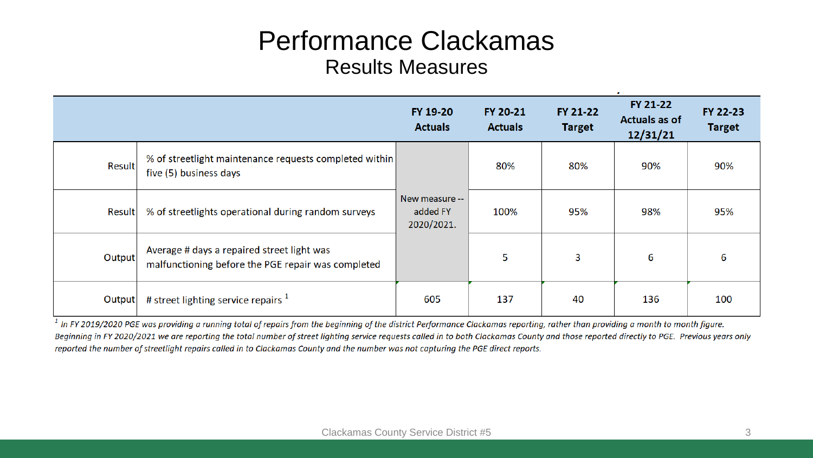#### Performance Clackamas Results Measures

|               |                                                                                                  | FY 19-20<br><b>Actuals</b>               | FY 20-21<br><b>Actuals</b> | FY 21-22<br><b>Target</b> | FY 21-22<br><b>Actuals as of</b><br>12/31/21 | FY 22-23<br><b>Target</b> |
|---------------|--------------------------------------------------------------------------------------------------|------------------------------------------|----------------------------|---------------------------|----------------------------------------------|---------------------------|
| Result        | % of streetlight maintenance requests completed within<br>five (5) business days                 |                                          | 80%                        | 80%                       | 90%                                          | 90%                       |
| <b>Result</b> | % of streetlights operational during random surveys                                              | New measure --<br>added FY<br>2020/2021. | 100%                       | 95%                       | 98%                                          | 95%                       |
| Output        | Average # days a repaired street light was<br>malfunctioning before the PGE repair was completed |                                          | 5                          | 3                         | 6                                            | 6                         |
| Output        | # street lighting service repairs $1$                                                            | 605                                      | 137                        | 40                        | 136                                          | 100                       |

 $1$  In FY 2019/2020 PGE was providing a running total of repairs from the beginning of the district Performance Clackamas reporting, rather than providing a month to month figure. Beginning in FY 2020/2021 we are reporting the total number of street lighting service requests called in to both Clackamas County and those reported directly to PGE. Previous years only reported the number of streetlight repairs called in to Clackamas County and the number was not capturing the PGE direct reports.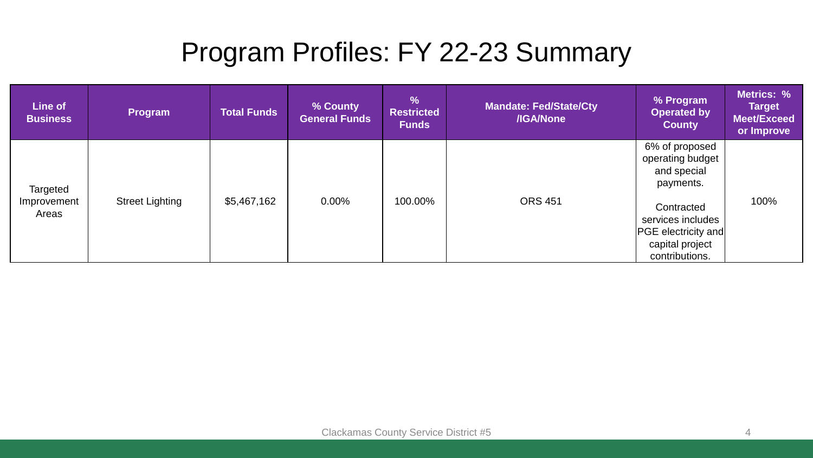### Program Profiles: FY 22-23 Summary

| Line of<br><b>Business</b> | Program                | <b>Total Funds</b> | % County<br><b>General Funds</b> | $\frac{9}{6}$<br><b>Restricted</b><br><b>Funds</b> | <b>Mandate: Fed/State/Cty</b><br>/IGA/None | % Program<br><b>Operated by</b><br><b>County</b>                                                   | Metrics: %<br><b>Target</b><br>Meet/Exceed<br>or Improve |
|----------------------------|------------------------|--------------------|----------------------------------|----------------------------------------------------|--------------------------------------------|----------------------------------------------------------------------------------------------------|----------------------------------------------------------|
| Targeted                   |                        |                    |                                  |                                                    |                                            | 6% of proposed<br>operating budget<br>and special<br>payments.                                     |                                                          |
| Improvement<br>Areas       | <b>Street Lighting</b> | \$5,467,162        | $0.00\%$                         | 100.00%                                            | <b>ORS 451</b>                             | Contracted<br>services includes<br><b>PGE</b> electricity and<br>capital project<br>contributions. | 100%                                                     |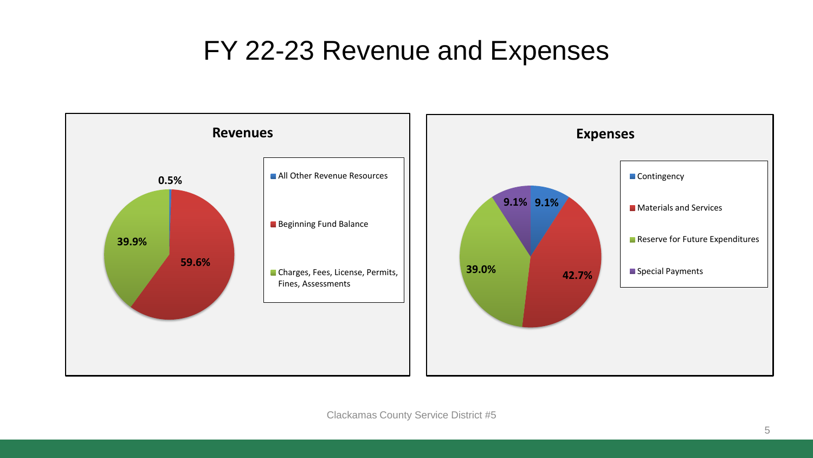#### FY 22-23 Revenue and Expenses

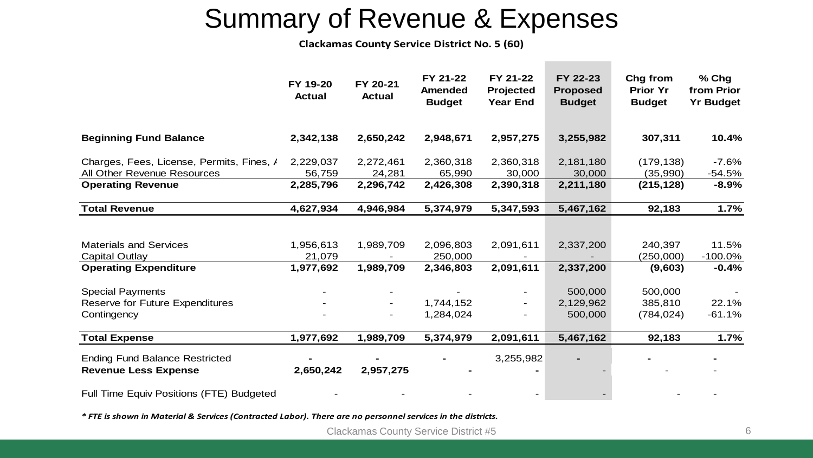### Summary of Revenue & Expenses

**Clackamas County Service District No. 5 (60)**

|                                                                                        | FY 19-20<br><b>Actual</b>        | FY 20-21<br><b>Actual</b> | FY 21-22<br><b>Amended</b><br><b>Budget</b> | FY 21-22<br>Projected<br><b>Year End</b> | FY 22-23<br><b>Proposed</b><br><b>Budget</b> | Chg from<br><b>Prior Yr</b><br><b>Budget</b> | % Chg<br>from Prior<br><b>Yr Budget</b> |
|----------------------------------------------------------------------------------------|----------------------------------|---------------------------|---------------------------------------------|------------------------------------------|----------------------------------------------|----------------------------------------------|-----------------------------------------|
| <b>Beginning Fund Balance</b>                                                          | 2,342,138                        | 2,650,242                 | 2,948,671                                   | 2,957,275                                | 3,255,982                                    | 307,311                                      | 10.4%                                   |
| Charges, Fees, License, Permits, Fines, /<br>All Other Revenue Resources               | 2,229,037<br>56,759              | 2,272,461<br>24,281       | 2,360,318<br>65,990                         | 2,360,318<br>30,000                      | 2,181,180<br>30,000                          | (179, 138)<br>(35,990)                       | $-7.6%$<br>$-54.5%$                     |
| <b>Operating Revenue</b>                                                               | 2,285,796                        | 2,296,742                 | 2,426,308                                   | 2,390,318                                | 2,211,180                                    | (215, 128)                                   | $-8.9%$                                 |
| <b>Total Revenue</b>                                                                   | 4,627,934                        | 4,946,984                 | 5,374,979                                   | 5,347,593                                | 5,467,162                                    | 92,183                                       | 1.7%                                    |
| <b>Materials and Services</b><br><b>Capital Outlay</b><br><b>Operating Expenditure</b> | 1,956,613<br>21,079<br>1,977,692 | 1,989,709<br>1,989,709    | 2,096,803<br>250,000<br>2,346,803           | 2,091,611<br>2,091,611                   | 2,337,200<br>2,337,200                       | 240,397<br>(250,000)<br>(9,603)              | 11.5%<br>$-100.0\%$<br>$-0.4%$          |
| <b>Special Payments</b><br>Reserve for Future Expenditures<br>Contingency              |                                  | $\overline{\phantom{a}}$  | 1,744,152<br>1,284,024                      |                                          | 500,000<br>2,129,962<br>500,000              | 500,000<br>385,810<br>(784, 024)             | 22.1%<br>$-61.1%$                       |
| <b>Total Expense</b>                                                                   | 1,977,692                        | 1,989,709                 | 5,374,979                                   | 2,091,611                                | 5,467,162                                    | 92,183                                       | 1.7%                                    |
| <b>Ending Fund Balance Restricted</b><br><b>Revenue Less Expense</b>                   | 2,650,242                        | 2,957,275                 |                                             | 3,255,982                                |                                              |                                              |                                         |
| Full Time Equiv Positions (FTE) Budgeted                                               |                                  |                           |                                             |                                          |                                              |                                              |                                         |

*\* FTE is shown in Material & Services (Contracted Labor). There are no personnel services in the districts.*

Clackamas County Service District #5 6 6 6 6 6 6 6 6 6 6 6 6 6 6 6 7 7 8 7 7 8 7 7 8 7 7 8 7 7 8 7 7 8 7 7 8 7 8 7 7 8 7 7 8 7 7 8 7 7 8 7 7 8 7 7 8 7 7 8 7 7 8 7 7 8 7 7 8 7 7 8 7 7 8 7 7 8 7 7 8 7 7 8 7 7 8 7 7 8 7 7 8 7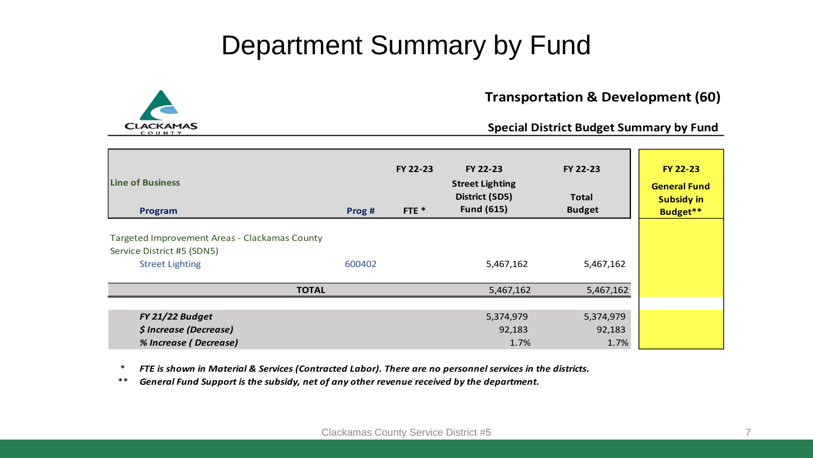#### Department Summary by Fund



#### **Transportation & Development (60)**

#### **Special District Budget Summary by Fund**

| <b>Line of Business</b><br>Program                                                                    | Prog #       | FY 22-23<br>FTE $*$ | FY 22-23<br><b>Street Lighting</b><br>District (SD5)<br><b>Fund (615)</b> | FY 22-23<br><b>Total</b><br><b>Budget</b> | <b>FY 22-23</b><br><b>General Fund</b><br><b>Subsidy in</b><br>Budget** |
|-------------------------------------------------------------------------------------------------------|--------------|---------------------|---------------------------------------------------------------------------|-------------------------------------------|-------------------------------------------------------------------------|
| Targeted Improvement Areas - Clackamas County<br>Service District #5 (SDN5)<br><b>Street Lighting</b> | 600402       |                     | 5,467,162                                                                 | 5,467,162                                 |                                                                         |
|                                                                                                       | <b>TOTAL</b> |                     | 5,467,162                                                                 | 5,467,162                                 |                                                                         |
| FY 21/22 Budget<br>\$ Increase (Decrease)<br>% Increase (Decrease)                                    |              |                     | 5,374,979<br>92,183<br>1.7%                                               | 5,374,979<br>92,183<br>1.7%               |                                                                         |

\* *FTE is shown in Material & Services (Contracted Labor). There are no personnel services in the districts.*

\*\* *General Fund Support is the subsidy, net of any other revenue received by the department.*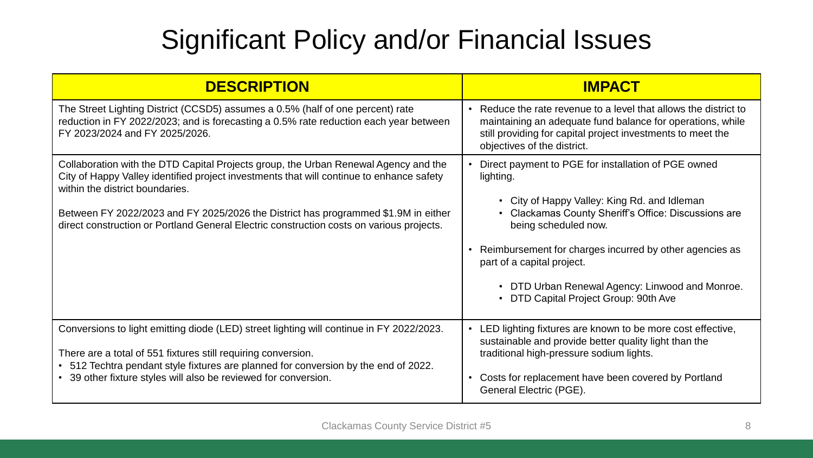## Significant Policy and/or Financial Issues

| <b>DESCRIPTION</b>                                                                                                                                                                                                                                                                                                                                                                                   | <b>IMPACT</b>                                                                                                                                                                                                                                                                                                                                                                                                                 |
|------------------------------------------------------------------------------------------------------------------------------------------------------------------------------------------------------------------------------------------------------------------------------------------------------------------------------------------------------------------------------------------------------|-------------------------------------------------------------------------------------------------------------------------------------------------------------------------------------------------------------------------------------------------------------------------------------------------------------------------------------------------------------------------------------------------------------------------------|
| The Street Lighting District (CCSD5) assumes a 0.5% (half of one percent) rate<br>reduction in FY 2022/2023; and is forecasting a 0.5% rate reduction each year between<br>FY 2023/2024 and FY 2025/2026.                                                                                                                                                                                            | • Reduce the rate revenue to a level that allows the district to<br>maintaining an adequate fund balance for operations, while<br>still providing for capital project investments to meet the<br>objectives of the district.                                                                                                                                                                                                  |
| Collaboration with the DTD Capital Projects group, the Urban Renewal Agency and the<br>City of Happy Valley identified project investments that will continue to enhance safety<br>within the district boundaries.<br>Between FY 2022/2023 and FY 2025/2026 the District has programmed \$1.9M in either<br>direct construction or Portland General Electric construction costs on various projects. | Direct payment to PGE for installation of PGE owned<br>lighting.<br>• City of Happy Valley: King Rd. and Idleman<br><b>Clackamas County Sheriff's Office: Discussions are</b><br>$\bullet$<br>being scheduled now.<br>Reimbursement for charges incurred by other agencies as<br>part of a capital project.<br>DTD Urban Renewal Agency: Linwood and Monroe.<br>$\bullet$<br>DTD Capital Project Group: 90th Ave<br>$\bullet$ |
| Conversions to light emitting diode (LED) street lighting will continue in FY 2022/2023.<br>There are a total of 551 fixtures still requiring conversion.<br>• 512 Techtra pendant style fixtures are planned for conversion by the end of 2022.<br>• 39 other fixture styles will also be reviewed for conversion.                                                                                  | LED lighting fixtures are known to be more cost effective,<br>sustainable and provide better quality light than the<br>traditional high-pressure sodium lights.<br>Costs for replacement have been covered by Portland<br>General Electric (PGE).                                                                                                                                                                             |